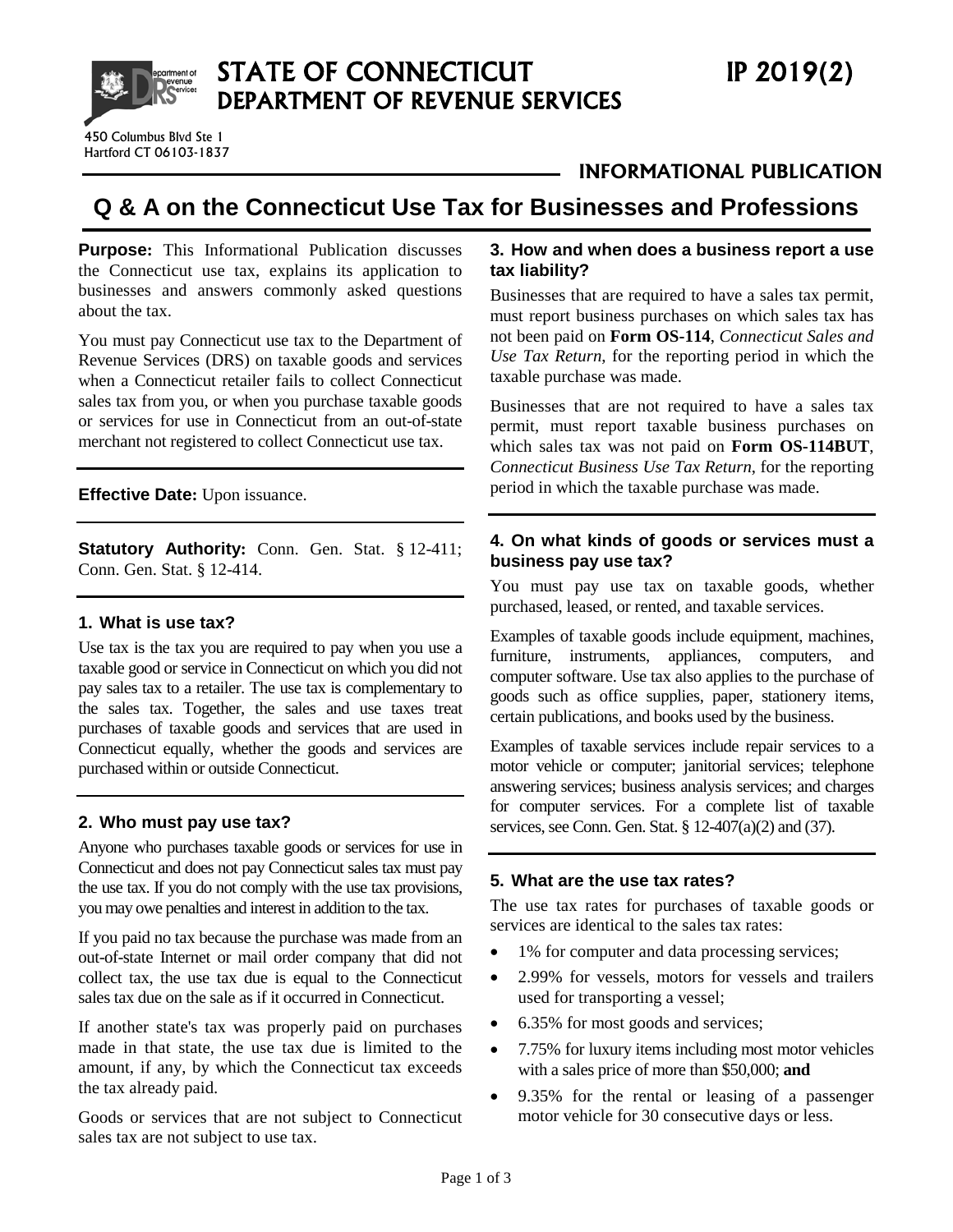

# **INFORMATIONAL PUBLICATION**

# **Q & A on the Connecticut Use Tax for Businesses and Professions**

**Purpose:** This Informational Publication discusses the Connecticut use tax, explains its application to businesses and answers commonly asked questions about the tax.

You must pay Connecticut use tax to the Department of Revenue Services (DRS) on taxable goods and services when a Connecticut retailer fails to collect Connecticut sales tax from you, or when you purchase taxable goods or services for use in Connecticut from an out-of-state merchant not registered to collect Connecticut use tax.

**Effective Date:** Upon issuance.

**Statutory Authority:** Conn. Gen. Stat. § 12-411; Conn. Gen. Stat. § 12-414.

#### **1. What is use tax?**

Use tax is the tax you are required to pay when you use a taxable good or service in Connecticut on which you did not pay sales tax to a retailer. The use tax is complementary to the sales tax. Together, the sales and use taxes treat purchases of taxable goods and services that are used in Connecticut equally, whether the goods and services are purchased within or outside Connecticut.

# **2. Who must pay use tax?**

Anyone who purchases taxable goods or services for use in Connecticut and does not pay Connecticut sales tax must pay the use tax. If you do not comply with the use tax provisions, you may owe penalties and interest in addition to the tax.

If you paid no tax because the purchase was made from an out-of-state Internet or mail order company that did not collect tax, the use tax due is equal to the Connecticut sales tax due on the sale as if it occurred in Connecticut.

If another state's tax was properly paid on purchases made in that state, the use tax due is limited to the amount, if any, by which the Connecticut tax exceeds the tax already paid.

Goods or services that are not subject to Connecticut sales tax are not subject to use tax.

#### **3. How and when does a business report a use tax liability?**

Businesses that are required to have a sales tax permit, must report business purchases on which sales tax has not been paid on **Form OS-114**, *Connecticut Sales and Use Tax Return*, for the reporting period in which the taxable purchase was made.

Businesses that are not required to have a sales tax permit, must report taxable business purchases on which sales tax was not paid on **Form OS-114BUT**, *Connecticut Business Use Tax Return*, for the reporting period in which the taxable purchase was made.

#### **4. On what kinds of goods or services must a business pay use tax?**

You must pay use tax on taxable goods, whether purchased, leased, or rented, and taxable services.

Examples of taxable goods include equipment, machines, furniture, instruments, appliances, computers, and computer software. Use tax also applies to the purchase of goods such as office supplies, paper, stationery items, certain publications, and books used by the business.

Examples of taxable services include repair services to a motor vehicle or computer; janitorial services; telephone answering services; business analysis services; and charges for computer services. For a complete list of taxable services, see Conn. Gen. Stat. § 12-407(a)(2) and (37).

# **5. What are the use tax rates?**

The use tax rates for purchases of taxable goods or services are identical to the sales tax rates:

- 1% for computer and data processing services;
- 2.99% for vessels, motors for vessels and trailers used for transporting a vessel;
- 6.35% for most goods and services;
- 7.75% for luxury items including most motor vehicles with a sales price of more than \$50,000; **and**
- 9.35% for the rental or leasing of a passenger motor vehicle for 30 consecutive days or less.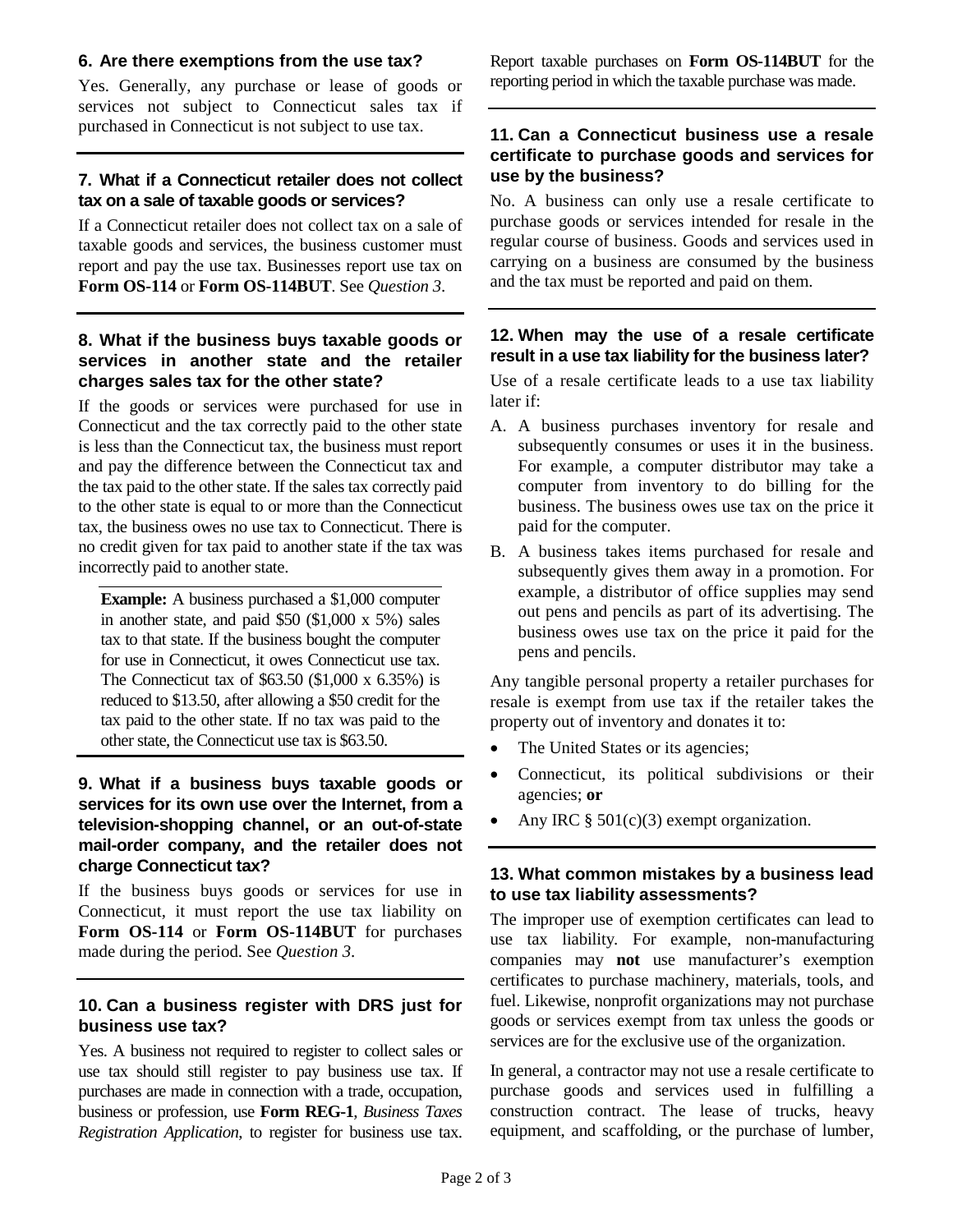#### **6. Are there exemptions from the use tax?**

Yes. Generally, any purchase or lease of goods or services not subject to Connecticut sales tax if purchased in Connecticut is not subject to use tax.

# **7. What if a Connecticut retailer does not collect tax on a sale of taxable goods or services?**

If a Connecticut retailer does not collect tax on a sale of taxable goods and services, the business customer must report and pay the use tax. Businesses report use tax on **Form OS-114** or **Form OS-114BUT**. See *Question 3*.

# **8. What if the business buys taxable goods or services in another state and the retailer charges sales tax for the other state?**

If the goods or services were purchased for use in Connecticut and the tax correctly paid to the other state is less than the Connecticut tax, the business must report and pay the difference between the Connecticut tax and the tax paid to the other state. If the sales tax correctly paid to the other state is equal to or more than the Connecticut tax, the business owes no use tax to Connecticut. There is no credit given for tax paid to another state if the tax was incorrectly paid to another state.

**Example:** A business purchased a \$1,000 computer in another state, and paid \$50 (\$1,000 x 5%) sales tax to that state. If the business bought the computer for use in Connecticut, it owes Connecticut use tax. The Connecticut tax of \$63.50 (\$1,000 x 6.35%) is reduced to \$13.50, after allowing a \$50 credit for the tax paid to the other state. If no tax was paid to the other state, the Connecticut use tax is \$63.50.

# **9. What if a business buys taxable goods or services for its own use over the Internet, from a television-shopping channel, or an out-of-state mail-order company, and the retailer does not charge Connecticut tax?**

If the business buys goods or services for use in Connecticut, it must report the use tax liability on **Form OS-114** or **Form OS-114BUT** for purchases made during the period. See *Question 3*.

# **10. Can a business register with DRS just for business use tax?**

Yes. A business not required to register to collect sales or use tax should still register to pay business use tax. If purchases are made in connection with a trade, occupation, business or profession, use **Form REG-1**, *Business Taxes Registration Application*, to register for business use tax.

Report taxable purchases on **Form OS-114BUT** for the reporting period in which the taxable purchase was made.

#### **11. Can a Connecticut business use a resale certificate to purchase goods and services for use by the business?**

No. A business can only use a resale certificate to purchase goods or services intended for resale in the regular course of business. Goods and services used in carrying on a business are consumed by the business and the tax must be reported and paid on them.

# **12. When may the use of a resale certificate result in a use tax liability for the business later?**

Use of a resale certificate leads to a use tax liability later if:

- A. A business purchases inventory for resale and subsequently consumes or uses it in the business. For example, a computer distributor may take a computer from inventory to do billing for the business. The business owes use tax on the price it paid for the computer.
- B. A business takes items purchased for resale and subsequently gives them away in a promotion. For example, a distributor of office supplies may send out pens and pencils as part of its advertising. The business owes use tax on the price it paid for the pens and pencils.

Any tangible personal property a retailer purchases for resale is exempt from use tax if the retailer takes the property out of inventory and donates it to:

- The United States or its agencies;
- Connecticut, its political subdivisions or their agencies; **or**
- Any IRC  $\S$  501(c)(3) exempt organization.

# **13. What common mistakes by a business lead to use tax liability assessments?**

The improper use of exemption certificates can lead to use tax liability*.* For example, non-manufacturing companies may **not** use manufacturer's exemption certificates to purchase machinery, materials, tools, and fuel. Likewise, nonprofit organizations may not purchase goods or services exempt from tax unless the goods or services are for the exclusive use of the organization.

In general, a contractor may not use a resale certificate to purchase goods and services used in fulfilling a construction contract. The lease of trucks, heavy equipment, and scaffolding, or the purchase of lumber,